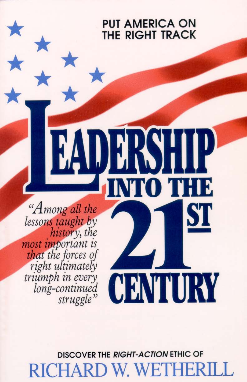**PUT AMERICA ON RIGHT TRACK** THF

KS

CENTURY

HB

"Among all the lessons taught by<br>history, the most important is<br>that the forces of<br>right ultimately<br>triumph in every<br>long-continued<br>struggle"

> **DISCOVER THE RIGHT-ACTION ETHIC OF** JARD W. WE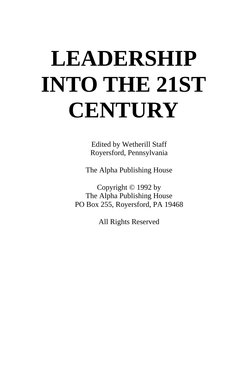# **LEADERSHIP INTO THE 21ST CENTURY**

Edited by Wetherill Staff Royersford, Pennsylvania

The Alpha Publishing House

Copyright © 1992 by The Alpha Publishing House PO Box 255, Royersford, PA 19468

All Rights Reserved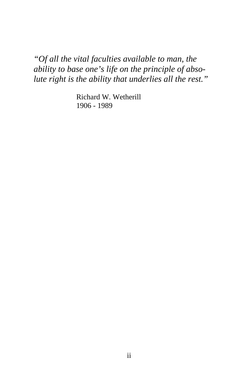*"Of all the vital faculties available to man, the ability to base one's life on the principle of absolute right is the ability that underlies all the rest."* 

> Richard W. Wetherill 1906 - 1989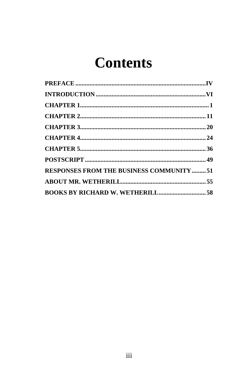# **Contents**

| <b>RESPONSES FROM THE BUSINESS COMMUNITY 51</b> |  |
|-------------------------------------------------|--|
|                                                 |  |
|                                                 |  |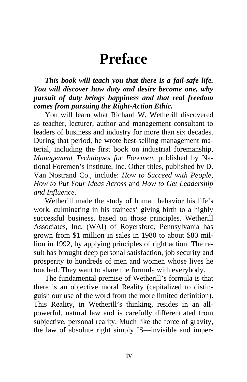### **Preface**

<span id="page-4-0"></span>*This book will teach you that there is a fail-safe life. You will discover how duty and desire become one, why pursuit of duty brings happiness and that real freedom comes from pursuing the Right-Action Ethic.* 

You will learn what Richard W. Wetherill discovered as teacher, lecturer, author and management consultant to leaders of business and industry for more than six decades. During that period, he wrote best-selling management material, including the first book on industrial foremanship, *Management Techniques for Foremen*, published by National Foremen's Institute, Inc. Other titles, published by D. Van Nostrand Co., include: *How to Succeed with People, How to Put Your Ideas Across* and *How to Get Leadership and Influence.*

Wetherill made the study of human behavior his life's work, culminating in his trainees' giving birth to a highly successful business, based on those principles. Wetherill Associates, Inc. (WAI) of Royersford, Pennsylvania has grown from \$1 million in sales in 1980 to about \$80 million in 1992, by applying principles of right action. The result has brought deep personal satisfaction, job security and prosperity to hundreds of men and women whose lives he touched. They want to share the formula with everybody.

The fundamental premise of Wetherill's formula is that there is an objective moral Reality (capitalized to distinguish our use of the word from the more limited definition). This Reality, in Wetherill's thinking, resides in an allpowerful, natural law and is carefully differentiated from subjective, personal reality. Much like the force of gravity, the law of absolute right simply IS—invisible and imper-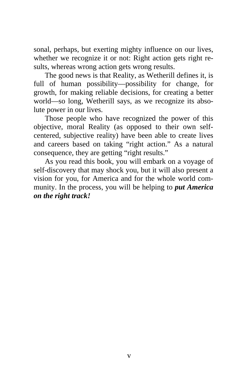sonal, perhaps, but exerting mighty influence on our lives, whether we recognize it or not: Right action gets right results, whereas wrong action gets wrong results.

The good news is that Reality, as Wetherill defines it, is full of human possibility—possibility for change, for growth, for making reliable decisions, for creating a better world—so long, Wetherill says, as we recognize its absolute power in our lives.

Those people who have recognized the power of this objective, moral Reality (as opposed to their own selfcentered, subjective reality) have been able to create lives and careers based on taking "right action." As a natural consequence, they are getting "right results."

As you read this book, you will embark on a voyage of self-discovery that may shock you, but it will also present a vision for you, for America and for the whole world community. In the process, you will be helping to *put America on the right track!*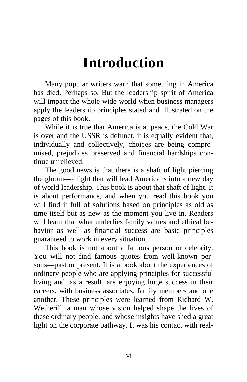# **Introduction**

<span id="page-6-0"></span>Many popular writers warn that something in America has died. Perhaps so. But the leadership spirit of America will impact the whole wide world when business managers apply the leadership principles stated and illustrated on the pages of this book.

While it is true that America is at peace, the Cold War is over and the USSR is defunct, it is equally evident that, individually and collectively, choices are being compromised, prejudices preserved and financial hardships continue unrelieved.

The good news is that there is a shaft of light piercing the gloom—a light that will lead Americans into a new day of world leadership. This book is about that shaft of light. It is about performance, and when you read this book you will find it full of solutions based on principles as old as time itself but as new as the moment you live in. Readers will learn that what underlies family values and ethical behavior as well as financial success are basic principles guaranteed to work in every situation.

This book is not about a famous person or celebrity. You will not find famous quotes from well-known persons—past or present. It is a book about the experiences of ordinary people who are applying principles for successful living and, as a result, are enjoying huge success in their careers, with business associates, family members and one another. These principles were learned from Richard W. Wetherill, a man whose vision helped shape the lives of these ordinary people, and whose insights have shed a great light on the corporate pathway. It was his contact with real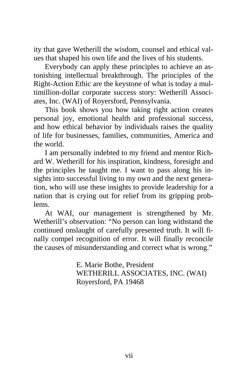ity that gave Wetherill the wisdom, counsel and ethical values that shaped his own life and the lives of his students.

Everybody can apply these principles to achieve an astonishing intellectual breakthrough. The principles of the Right-Action Ethic are the keystone of what is today a multimillion-dollar corporate success story: Wetherill Associates, Inc. (WAI) of Royersford, Pennsylvania.

This book shows you how taking right action creates personal joy, emotional health and professional success, and how ethical behavior by individuals raises the quality of life for businesses, families, communities, America and the world.

I am personally indebted to my friend and mentor Richard W. Wetherill for his inspiration, kindness, foresight and the principles he taught me. I want to pass along his insights into successful living to my own and the next generation, who will use these insights to provide leadership for a nation that is crying out for relief from its gripping problems.

At WAI, our management is strengthened by Mr. Wetherill's observation: "No person can long withstand the continued onslaught of carefully presented truth. It will finally compel recognition of error. It will finally reconcile the causes of misunderstanding and correct what is wrong."

> E. Marie Bothe, President WETHERILL ASSOCIATES, INC. (WAI) Royersford, PA 19468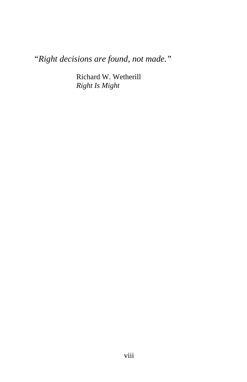*"Right decisions are found, not made."* 

Richard W. Wetherill *Right Is Might*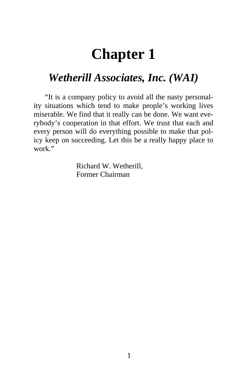### **Chapter 1**

#### <span id="page-9-0"></span>*Wetherill Associates, Inc. (WAI)*

"It is a company policy to avoid all the nasty personality situations which tend to make people's working lives miserable. We find that it really can be done. We want everybody's cooperation in that effort. We trust that each and every person will do everything possible to make that policy keep on succeeding. Let this be a really happy place to work."

> Richard W. Wetherill, Former Chairman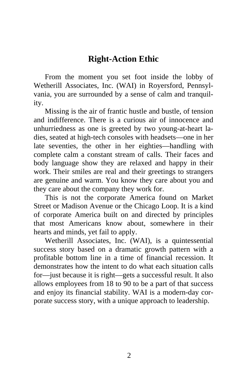#### **Right-Action Ethic**

From the moment you set foot inside the lobby of Wetherill Associates, Inc. (WAI) in Royersford, Pennsylvania, you are surrounded by a sense of calm and tranquility.

Missing is the air of frantic hustle and bustle, of tension and indifference. There is a curious air of innocence and unhurriedness as one is greeted by two young-at-heart ladies, seated at high-tech consoles with headsets—one in her late seventies, the other in her eighties—handling with complete calm a constant stream of calls. Their faces and body language show they are relaxed and happy in their work. Their smiles are real and their greetings to strangers are genuine and warm. You know they care about you and they care about the company they work for.

This is not the corporate America found on Market Street or Madison Avenue or the Chicago Loop. It is a kind of corporate America built on and directed by principles that most Americans know about, somewhere in their hearts and minds, yet fail to apply.

Wetherill Associates, Inc. (WAI), is a quintessential success story based on a dramatic growth pattern with a profitable bottom line in a time of financial recession. It demonstrates how the intent to do what each situation calls for—just because it is right—gets a successful result. It also allows employees from 18 to 90 to be a part of that success and enjoy its financial stability. WAI is a modern-day corporate success story, with a unique approach to leadership.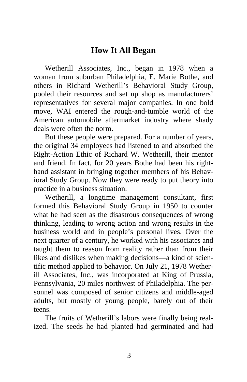#### **How It All Began**

Wetherill Associates, Inc., began in 1978 when a woman from suburban Philadelphia, E. Marie Bothe, and others in Richard Wetherill's Behavioral Study Group, pooled their resources and set up shop as manufacturers' representatives for several major companies. In one bold move, WAI entered the rough-and-tumble world of the American automobile aftermarket industry where shady deals were often the norm.

But these people were prepared. For a number of years, the original 34 employees had listened to and absorbed the Right-Action Ethic of Richard W. Wetherill, their mentor and friend. In fact, for 20 years Bothe had been his righthand assistant in bringing together members of his Behavioral Study Group. Now they were ready to put theory into practice in a business situation.

Wetherill, a longtime management consultant, first formed this Behavioral Study Group in 1950 to counter what he had seen as the disastrous consequences of wrong thinking, leading to wrong action and wrong results in the business world and in people's personal lives. Over the next quarter of a century, he worked with his associates and taught them to reason from reality rather than from their likes and dislikes when making decisions—a kind of scientific method applied to behavior. On July 21, 1978 Wetherill Associates, Inc., was incorporated at King of Prussia, Pennsylvania, 20 miles northwest of Philadelphia. The personnel was composed of senior citizens and middle-aged adults, but mostly of young people, barely out of their teens.

The fruits of Wetherill's labors were finally being realized. The seeds he had planted had germinated and had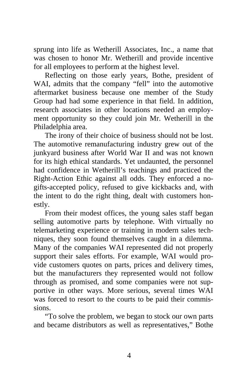sprung into life as Wetherill Associates, Inc., a name that was chosen to honor Mr. Wetherill and provide incentive for all employees to perform at the highest level.

Reflecting on those early years, Bothe, president of WAI, admits that the company "fell" into the automotive aftermarket business because one member of the Study Group had had some experience in that field. In addition, research associates in other locations needed an employment opportunity so they could join Mr. Wetherill in the Philadelphia area.

The irony of their choice of business should not be lost. The automotive remanufacturing industry grew out of the junkyard business after World War II and was not known for its high ethical standards. Yet undaunted, the personnel had confidence in Wetherill's teachings and practiced the Right-Action Ethic against all odds. They enforced a nogifts-accepted policy, refused to give kickbacks and, with the intent to do the right thing, dealt with customers honestly.

From their modest offices, the young sales staff began selling automotive parts by telephone. With virtually no telemarketing experience or training in modern sales techniques, they soon found themselves caught in a dilemma. Many of the companies WAI represented did not properly support their sales efforts. For example, WAI would provide customers quotes on parts, prices and delivery times, but the manufacturers they represented would not follow through as promised, and some companies were not supportive in other ways. More serious, several times WAI was forced to resort to the courts to be paid their commissions.

"To solve the problem, we began to stock our own parts and became distributors as well as representatives," Bothe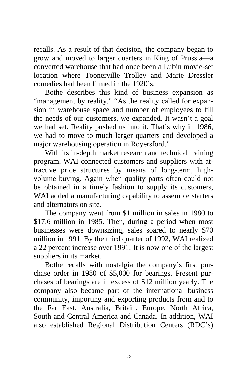recalls. As a result of that decision, the company began to grow and moved to larger quarters in King of Prussia—a converted warehouse that had once been a Lubin movie-set location where Toonerville Trolley and Marie Dressler comedies had been filmed in the 1920's.

Bothe describes this kind of business expansion as "management by reality." "As the reality called for expansion in warehouse space and number of employees to fill the needs of our customers, we expanded. It wasn't a goal we had set. Reality pushed us into it. That's why in 1986, we had to move to much larger quarters and developed a major warehousing operation in Royersford."

With its in-depth market research and technical training program, WAI connected customers and suppliers with attractive price structures by means of long-term, highvolume buying. Again when quality parts often could not be obtained in a timely fashion to supply its customers, WAI added a manufacturing capability to assemble starters and alternators on site.

The company went from \$1 million in sales in 1980 to \$17.6 million in 1985. Then, during a period when most businesses were downsizing, sales soared to nearly \$70 million in 1991. By the third quarter of 1992, WAI realized a 22 percent increase over 1991! It is now one of the largest suppliers in its market.

Bothe recalls with nostalgia the company's first purchase order in 1980 of \$5,000 for bearings. Present purchases of bearings are in excess of \$12 million yearly. The company also became part of the international business community, importing and exporting products from and to the Far East, Australia, Britain, Europe, North Africa, South and Central America and Canada. In addition, WAI also established Regional Distribution Centers (RDC's)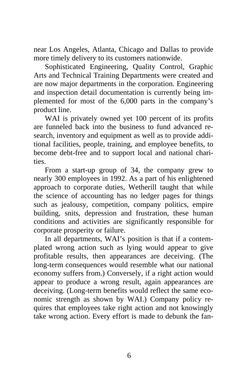near Los Angeles, Atlanta, Chicago and Dallas to provide more timely delivery to its customers nationwide.

Sophisticated Engineering, Quality Control, Graphic Arts and Technical Training Departments were created and are now major departments in the corporation. Engineering and inspection detail documentation is currently being implemented for most of the 6,000 parts in the company's product line.

WAI is privately owned yet 100 percent of its profits are funneled back into the business to fund advanced research, inventory and equipment as well as to provide additional facilities, people, training, and employee benefits, to become debt-free and to support local and national charities.

From a start-up group of 34, the company grew to nearly 300 employees in 1992. As a part of his enlightened approach to corporate duties, Wetherill taught that while the science of accounting has no ledger pages for things such as jealousy, competition, company politics, empire building, snits, depression and frustration, these human conditions and activities are significantly responsible for corporate prosperity or failure.

In all departments, WAI's position is that if a contemplated wrong action such as lying would appear to give profitable results, then appearances are deceiving. (The long-term consequences would resemble what our national economy suffers from.) Conversely, if a right action would appear to produce a wrong result, again appearances are deceiving. (Long-term benefits would reflect the same economic strength as shown by WAI.) Company policy requires that employees take right action and not knowingly take wrong action. Every effort is made to debunk the fan-

6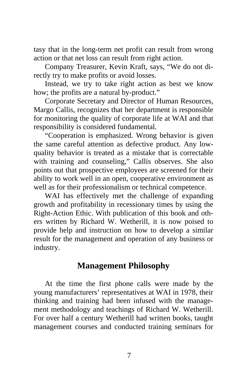tasy that in the long-term net profit can result from wrong action or that net loss can result from right action.

Company Treasurer, Kevin Kraft, says, "We do not directly try to make profits or avoid losses.

Instead, we try to take right action as best we know how; the profits are a natural by-product."

Corporate Secretary and Director of Human Resources, Margo Callis, recognizes that her department is responsible for monitoring the quality of corporate life at WAI and that responsibility is considered fundamental.

"Cooperation is emphasized. Wrong behavior is given the same careful attention as defective product. Any lowquality behavior is treated as a mistake that is correctable with training and counseling," Callis observes. She also points out that prospective employees are screened for their ability to work well in an open, cooperative environment as well as for their professionalism or technical competence.

WAI has effectively met the challenge of expanding growth and profitability in recessionary times by using the Right-Action Ethic. With publication of this book and others written by Richard W. Wetherill, it is now poised to provide help and instruction on how to develop a similar result for the management and operation of any business or industry.

#### **Management Philosophy**

At the time the first phone calls were made by the young manufacturers' representatives at WAI in 1978, their thinking and training had been infused with the management methodology and teachings of Richard W. Wetherill. For over half a century Wetherill had written books, taught management courses and conducted training seminars for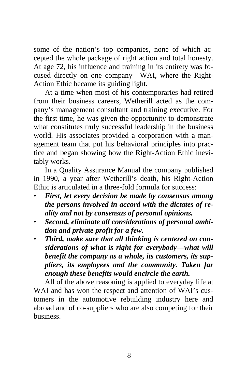some of the nation's top companies, none of which accepted the whole package of right action and total honesty. At age 72, his influence and training in its entirety was focused directly on one company—WAI, where the Right-Action Ethic became its guiding light.

At a time when most of his contemporaries had retired from their business careers, Wetherill acted as the company's management consultant and training executive. For the first time, he was given the opportunity to demonstrate what constitutes truly successful leadership in the business world. His associates provided a corporation with a management team that put his behavioral principles into practice and began showing how the Right-Action Ethic inevitably works.

In a Quality Assurance Manual the company published in 1990, a year after Wetherill's death, his Right-Action Ethic is articulated in a three-fold formula for success:

- *First, let every decision be made by consensus among the persons involved in accord with the dictates of reality and not by consensus of personal opinions.*
- *Second, eliminate all considerations of personal ambition and private profit for a few.*
- *Third, make sure that all thinking is centered on considerations of what is right for everybody—what will benefit the company as a whole, its customers, its suppliers, its employees and the community. Taken far enough these benefits would encircle the earth.*

All of the above reasoning is applied to everyday life at WAI and has won the respect and attention of WAI's customers in the automotive rebuilding industry here and abroad and of co-suppliers who are also competing for their business.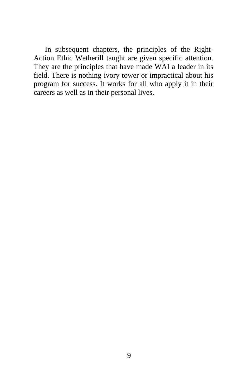In subsequent chapters, the principles of the Right-Action Ethic Wetherill taught are given specific attention. They are the principles that have made WAI a leader in its field. There is nothing ivory tower or impractical about his program for success. It works for all who apply it in their careers as well as in their personal lives.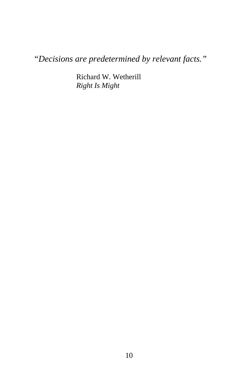*"Decisions are predetermined by relevant facts."* 

Richard W. Wetherill *Right Is Might*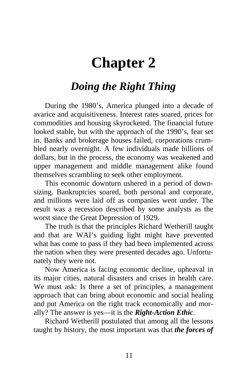## <span id="page-19-0"></span>**Chapter 2**

#### *Doing the Right Thing*

During the 1980's, America plunged into a decade of avarice and acquisitiveness. Interest rates soared, prices for commodities and housing skyrocketed. The financial future looked stable, but with the approach of the 1990's, fear set in. Banks and brokerage houses failed, corporations crumbled nearly overnight. A few individuals made billions of dollars, but in the process, the economy was weakened and upper management and middle management alike found themselves scrambling to seek other employment.

This economic downturn ushered in a period of downsizing. Bankruptcies soared, both personal and corporate, and millions were laid off as companies went under. The result was a recession described by some analysts as the worst since the Great Depression of 1929.

The truth is that the principles Richard Wetherill taught and that are WAI's guiding light might have prevented what has come to pass if they had been implemented across the nation when they were presented decades ago. Unfortunately they were not.

Now America is facing economic decline, upheaval in its major cities, natural disasters and crises in health care. We must ask: Is there a set of principles, a management approach that can bring about economic and social healing and put America on the right track economically and morally? The answer is yes—it is the *Right-Action Ethic*.

Richard Wetherill postulated that among all the lessons taught by history, the most important was that *the forces of*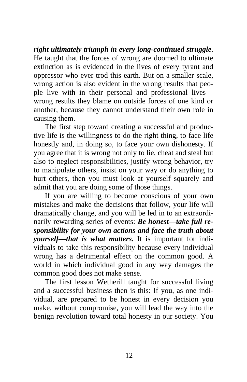*right ultimately triumph in every long-continued struggle*. He taught that the forces of wrong are doomed to ultimate extinction as is evidenced in the lives of every tyrant and oppressor who ever trod this earth. But on a smaller scale, wrong action is also evident in the wrong results that people live with in their personal and professional lives wrong results they blame on outside forces of one kind or another, because they cannot understand their own role in causing them.

The first step toward creating a successful and productive life is the willingness to do the right thing, to face life honestly and, in doing so, to face your own dishonesty. If you agree that it is wrong not only to lie, cheat and steal but also to neglect responsibilities, justify wrong behavior, try to manipulate others, insist on your way or do anything to hurt others, then you must look at yourself squarely and admit that you are doing some of those things.

If you are willing to become conscious of your own mistakes and make the decisions that follow, your life will dramatically change, and you will be led in to an extraordinarily rewarding series of events: *Be honest—take full responsibility for your own actions and face the truth about yourself—that is what matters.* It is important for individuals to take this responsibility because every individual wrong has a detrimental effect on the common good. A world in which individual good in any way damages the common good does not make sense.

The first lesson Wetherill taught for successful living and a successful business then is this: If you, as one individual, are prepared to be honest in every decision you make, without compromise, you will lead the way into the benign revolution toward total honesty in our society. You

12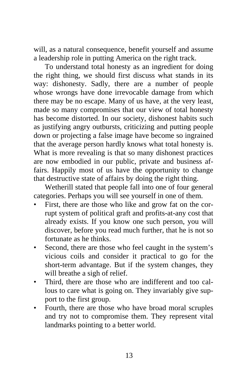will, as a natural consequence, benefit yourself and assume a leadership role in putting America on the right track.

To understand total honesty as an ingredient for doing the right thing, we should first discuss what stands in its way: dishonesty. Sadly, there are a number of people whose wrongs have done irrevocable damage from which there may be no escape. Many of us have, at the very least, made so many compromises that our view of total honesty has become distorted. In our society, dishonest habits such as justifying angry outbursts, criticizing and putting people down or projecting a false image have become so ingrained that the average person hardly knows what total honesty is. What is more revealing is that so many dishonest practices are now embodied in our public, private and business affairs. Happily most of us have the opportunity to change that destructive state of affairs by doing the right thing.

Wetherill stated that people fall into one of four general categories. Perhaps you will see yourself in one of them.

- First, there are those who like and grow fat on the corrupt system of political graft and profits-at-any cost that already exists. If you know one such person, you will discover, before you read much further, that he is not so fortunate as he thinks.
- Second, there are those who feel caught in the system's vicious coils and consider it practical to go for the short-term advantage. But if the system changes, they will breathe a sigh of relief.
- Third, there are those who are indifferent and too callous to care what is going on. They invariably give support to the first group.
- Fourth, there are those who have broad moral scruples and try not to compromise them. They represent vital landmarks pointing to a better world.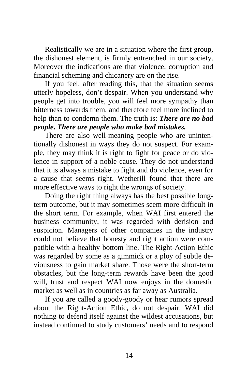Realistically we are in a situation where the first group, the dishonest element, is firmly entrenched in our society. Moreover the indications are that violence, corruption and financial scheming and chicanery are on the rise.

If you feel, after reading this, that the situation seems utterly hopeless, don't despair. When you understand why people get into trouble, you will feel more sympathy than bitterness towards them, and therefore feel more inclined to help than to condemn them. The truth is: *There are no bad people. There are people who make bad mistakes.*

There are also well-meaning people who are unintentionally dishonest in ways they do not suspect. For example, they may think it is right to fight for peace or do violence in support of a noble cause. They do not understand that it is always a mistake to fight and do violence, even for a cause that seems right. Wetherill found that there are more effective ways to right the wrongs of society.

Doing the right thing always has the best possible longterm outcome, but it may sometimes seem more difficult in the short term. For example, when WAI first entered the business community, it was regarded with derision and suspicion. Managers of other companies in the industry could not believe that honesty and right action were compatible with a healthy bottom line. The Right-Action Ethic was regarded by some as a gimmick or a ploy of subtle deviousness to gain market share. Those were the short-term obstacles, but the long-term rewards have been the good will, trust and respect WAI now enjoys in the domestic market as well as in countries as far away as Australia.

If you are called a goody-goody or hear rumors spread about the Right-Action Ethic, do not despair. WAI did nothing to defend itself against the wildest accusations, but instead continued to study customers' needs and to respond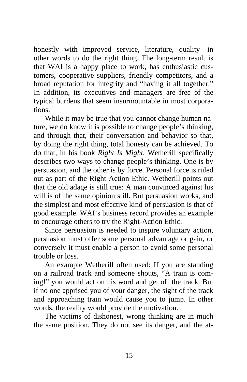honestly with improved service, literature, quality—in other words to do the right thing. The long-term result is that WAI is a happy place to work, has enthusiastic customers, cooperative suppliers, friendly competitors, and a broad reputation for integrity and "having it all together." In addition, its executives and managers are free of the typical burdens that seem insurmountable in most corporations.

While it may be true that you cannot change human nature, we do know it is possible to change people's thinking, and through that, their conversation and behavior so that, by doing the right thing, total honesty can be achieved. To do that, in his book *Right Is Might*, Wetherill specifically describes two ways to change people's thinking. One is by persuasion, and the other is by force. Personal force is ruled out as part of the Right Action Ethic. Wetherill points out that the old adage is still true: A man convinced against his will is of the same opinion still. But persuasion works, and the simplest and most effective kind of persuasion is that of good example. WAI's business record provides an example to encourage others to try the Right-Action Ethic.

Since persuasion is needed to inspire voluntary action, persuasion must offer some personal advantage or gain, or conversely it must enable a person to avoid some personal trouble or loss.

An example Wetherill often used: If you are standing on a railroad track and someone shouts, "A train is coming!" you would act on his word and get off the track. But if no one apprised you of your danger, the sight of the track and approaching train would cause you to jump. In other words, the reality would provide the motivation.

The victims of dishonest, wrong thinking are in much the same position. They do not see its danger, and the at-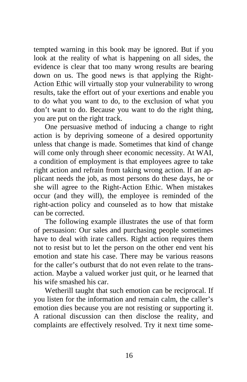tempted warning in this book may be ignored. But if you look at the reality of what is happening on all sides, the evidence is clear that too many wrong results are bearing down on us. The good news is that applying the Right-Action Ethic will virtually stop your vulnerability to wrong results, take the effort out of your exertions and enable you to do what you want to do, to the exclusion of what you don't want to do. Because you want to do the right thing, you are put on the right track.

One persuasive method of inducing a change to right action is by depriving someone of a desired opportunity unless that change is made. Sometimes that kind of change will come only through sheer economic necessity. At WAI, a condition of employment is that employees agree to take right action and refrain from taking wrong action. If an applicant needs the job, as most persons do these days, he or she will agree to the Right-Action Ethic. When mistakes occur (and they will), the employee is reminded of the right-action policy and counseled as to how that mistake can be corrected.

The following example illustrates the use of that form of persuasion: Our sales and purchasing people sometimes have to deal with irate callers. Right action requires them not to resist but to let the person on the other end vent his emotion and state his case. There may be various reasons for the caller's outburst that do not even relate to the transaction. Maybe a valued worker just quit, or he learned that his wife smashed his car.

Wetherill taught that such emotion can be reciprocal. If you listen for the information and remain calm, the caller's emotion dies because you are not resisting or supporting it. A rational discussion can then disclose the reality, and complaints are effectively resolved. Try it next time some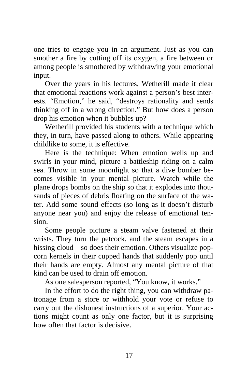one tries to engage you in an argument. Just as you can smother a fire by cutting off its oxygen, a fire between or among people is smothered by withdrawing your emotional input.

Over the years in his lectures, Wetherill made it clear that emotional reactions work against a person's best interests. "Emotion," he said, "destroys rationality and sends thinking off in a wrong direction." But how does a person drop his emotion when it bubbles up?

Wetherill provided his students with a technique which they, in turn, have passed along to others. While appearing childlike to some, it is effective.

Here is the technique: When emotion wells up and swirls in your mind, picture a battleship riding on a calm sea. Throw in some moonlight so that a dive bomber becomes visible in your mental picture. Watch while the plane drops bombs on the ship so that it explodes into thousands of pieces of debris floating on the surface of the water. Add some sound effects (so long as it doesn't disturb anyone near you) and enjoy the release of emotional tension.

Some people picture a steam valve fastened at their wrists. They turn the petcock, and the steam escapes in a hissing cloud—so does their emotion. Others visualize popcorn kernels in their cupped hands that suddenly pop until their hands are empty. Almost any mental picture of that kind can be used to drain off emotion.

As one salesperson reported, "You know, it works."

In the effort to do the right thing, you can withdraw patronage from a store or withhold your vote or refuse to carry out the dishonest instructions of a superior. Your actions might count as only one factor, but it is surprising how often that factor is decisive.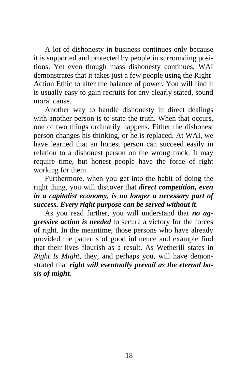A lot of dishonesty in business continues only because it is supported and protected by people in surrounding positions. Yet even though mass dishonesty continues, WAI demonstrates that it takes just a few people using the Right-Action Ethic to alter the balance of power. You will find it is usually easy to gain recruits for any clearly stated, sound moral cause.

Another way to handle dishonesty in direct dealings with another person is to state the truth. When that occurs, one of two things ordinarily happens. Either the dishonest person changes his thinking, or he is replaced. At WAI, we have learned that an honest person can succeed easily in relation to a dishonest person on the wrong track. It may require time, but honest people have the force of right working for them.

Furthermore, when you get into the habit of doing the right thing, you will discover that *direct competition, even in a capitalist economy, is no longer a necessary part of success. Every right purpose can be served without it*.

As you read further, you will understand that *no aggressive action is needed* to secure a victory for the forces of right. In the meantime, those persons who have already provided the patterns of good influence and example find that their lives flourish as a result. As Wetherill states in *Right Is Might*, they, and perhaps you, will have demonstrated that *right will eventually prevail as the eternal basis of might.*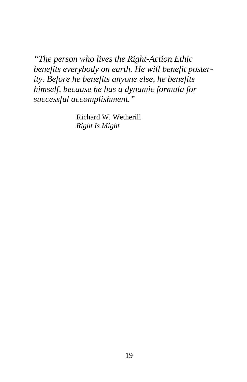*"The person who lives the Right-Action Ethic benefits everybody on earth. He will benefit posterity. Before he benefits anyone else, he benefits himself, because he has a dynamic formula for successful accomplishment."* 

> Richard W. Wetherill *Right Is Might*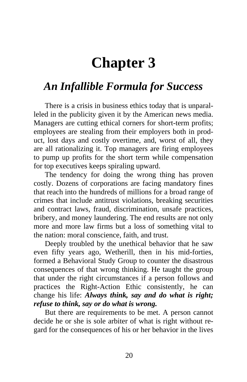## **Chapter 3**

#### <span id="page-28-0"></span>*An Infallible Formula for Success*

There is a crisis in business ethics today that is unparalleled in the publicity given it by the American news media. Managers are cutting ethical corners for short-term profits; employees are stealing from their employers both in product, lost days and costly overtime, and, worst of all, they are all rationalizing it. Top managers are firing employees to pump up profits for the short term while compensation for top executives keeps spiraling upward.

The tendency for doing the wrong thing has proven costly. Dozens of corporations are facing mandatory fines that reach into the hundreds of millions for a broad range of crimes that include antitrust violations, breaking securities and contract laws, fraud, discrimination, unsafe practices, bribery, and money laundering. The end results are not only more and more law firms but a loss of something vital to the nation: moral conscience, faith, and trust.

Deeply troubled by the unethical behavior that he saw even fifty years ago, Wetherill, then in his mid-forties, formed a Behavioral Study Group to counter the disastrous consequences of that wrong thinking. He taught the group that under the right circumstances if a person follows and practices the Right-Action Ethic consistently, he can change his life: *Always think, say and do what is right; refuse to think, say or do what is wrong.*

But there are requirements to be met. A person cannot decide he or she is sole arbiter of what is right without regard for the consequences of his or her behavior in the lives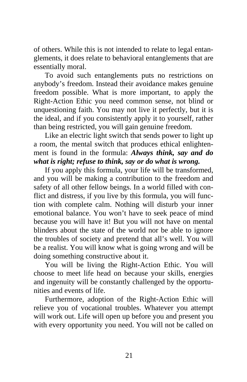of others. While this is not intended to relate to legal entanglements, it does relate to behavioral entanglements that are essentially moral.

To avoid such entanglements puts no restrictions on anybody's freedom. Instead their avoidance makes genuine freedom possible. What is more important, to apply the Right-Action Ethic you need common sense, not blind or unquestioning faith. You may not live it perfectly, but it is the ideal, and if you consistently apply it to yourself, rather than being restricted, you will gain genuine freedom.

Like an electric light switch that sends power to light up a room, the mental switch that produces ethical enlightenment is found in the formula: *Always think, say and do what is right; refuse to think, say or do what is wrong.*

If you apply this formula, your life will be transformed, and you will be making a contribution to the freedom and safety of all other fellow beings. In a world filled with conflict and distress, if you live by this formula, you will function with complete calm. Nothing will disturb your inner emotional balance. You won't have to seek peace of mind because you will have it! But you will not have on mental blinders about the state of the world nor be able to ignore the troubles of society and pretend that all's well. You will be a realist. You will know what is going wrong and will be doing something constructive about it.

You will be living the Right-Action Ethic. You will choose to meet life head on because your skills, energies and ingenuity will be constantly challenged by the opportunities and events of life.

Furthermore, adoption of the Right-Action Ethic will relieve you of vocational troubles. Whatever you attempt will work out. Life will open up before you and present you with every opportunity you need. You will not be called on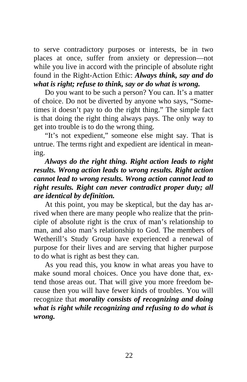to serve contradictory purposes or interests, be in two places at once, suffer from anxiety or depression—not while you live in accord with the principle of absolute right found in the Right-Action Ethic: *Always think, say and do what is right; refuse to think, say or do what is wrong.*

Do you want to be such a person? You can. It's a matter of choice. Do not be diverted by anyone who says, "Sometimes it doesn't pay to do the right thing." The simple fact is that doing the right thing always pays. The only way to get into trouble is to do the wrong thing.

"It's not expedient," someone else might say. That is untrue. The terms right and expedient are identical in meaning.

*Always do the right thing. Right action leads to right results. Wrong action leads to wrong results. Right action cannot lead to wrong results. Wrong action cannot lead to right results. Right can never contradict proper duty; all are identical by definition.* 

At this point, you may be skeptical, but the day has arrived when there are many people who realize that the principle of absolute right is the crux of man's relationship to man, and also man's relationship to God. The members of Wetherill's Study Group have experienced a renewal of purpose for their lives and are serving that higher purpose to do what is right as best they can.

As you read this, you know in what areas you have to make sound moral choices. Once you have done that, extend those areas out. That will give you more freedom because then you will have fewer kinds of troubles. You will recognize that *morality consists of recognizing and doing what is right while recognizing and refusing to do what is wrong.*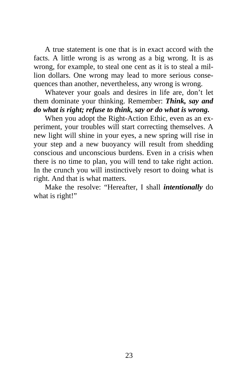A true statement is one that is in exact accord with the facts. A little wrong is as wrong as a big wrong. It is as wrong, for example, to steal one cent as it is to steal a million dollars. One wrong may lead to more serious consequences than another, nevertheless, any wrong is wrong.

Whatever your goals and desires in life are, don't let them dominate your thinking. Remember: *Think, say and do what is right; refuse to think, say or do what is wrong.*

When you adopt the Right-Action Ethic, even as an experiment, your troubles will start correcting themselves. A new light will shine in your eyes, a new spring will rise in your step and a new buoyancy will result from shedding conscious and unconscious burdens. Even in a crisis when there is no time to plan, you will tend to take right action. In the crunch you will instinctively resort to doing what is right. And that is what matters.

Make the resolve: "Hereafter, I shall *intentionally* do what is right!"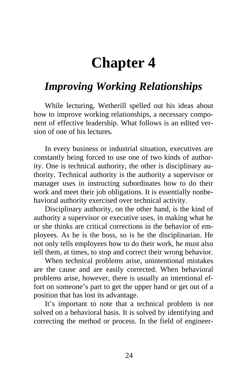## **Chapter 4**

#### <span id="page-32-0"></span>*Improving Working Relationships*

While lecturing, Wetherill spelled out his ideas about how to improve working relationships, a necessary component of effective leadership. What follows is an edited version of one of his lectures.

In every business or industrial situation, executives are constantly being forced to use one of two kinds of authority. One is technical authority, the other is disciplinary authority. Technical authority is the authority a supervisor or manager uses in instructing subordinates how to do their work and meet their job obligations. It is essentially nonbehavioral authority exercised over technical activity.

Disciplinary authority, on the other hand, is the kind of authority a supervisor or executive uses, in making what he or she thinks are critical corrections in the behavior of employees. As he is the boss, so is he the disciplinarian. He not only tells employees how to do their work, he must also tell them, at times, to stop and correct their wrong behavior.

When technical problems arise, unintentional mistakes are the cause and are easily corrected. When behavioral problems arise, however, there is usually an intentional effort on someone's part to get the upper hand or get out of a position that has lost its advantage.

It's important to note that a technical problem is not solved on a behavioral basis. It is solved by identifying and correcting the method or process. In the field of engineer-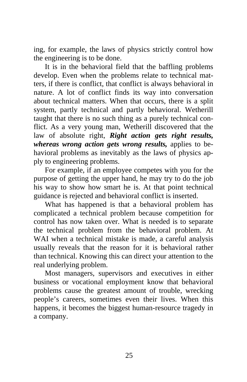ing, for example, the laws of physics strictly control how the engineering is to be done.

It is in the behavioral field that the baffling problems develop. Even when the problems relate to technical matters, if there is conflict, that conflict is always behavioral in nature. A lot of conflict finds its way into conversation about technical matters. When that occurs, there is a split system, partly technical and partly behavioral. Wetherill taught that there is no such thing as a purely technical conflict. As a very young man, Wetherill discovered that the law of absolute right, *Right action gets right results, whereas wrong action gets wrong results,* applies to behavioral problems as inevitably as the laws of physics apply to engineering problems.

For example, if an employee competes with you for the purpose of getting the upper hand, he may try to do the job his way to show how smart he is. At that point technical guidance is rejected and behavioral conflict is inserted.

What has happened is that a behavioral problem has complicated a technical problem because competition for control has now taken over. What is needed is to separate the technical problem from the behavioral problem. At WAI when a technical mistake is made, a careful analysis usually reveals that the reason for it is behavioral rather than technical. Knowing this can direct your attention to the real underlying problem.

Most managers, supervisors and executives in either business or vocational employment know that behavioral problems cause the greatest amount of trouble, wrecking people's careers, sometimes even their lives. When this happens, it becomes the biggest human-resource tragedy in a company.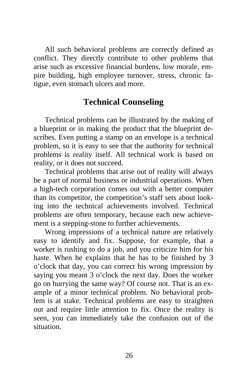All such behavioral problems are correctly defined as conflict. They directly contribute to other problems that arise such as excessive financial burdens, low morale, empire building, high employee turnover, stress, chronic fatigue, even stomach ulcers and more.

#### **Technical Counseling**

Technical problems can be illustrated by the making of a blueprint or in making the product that the blueprint describes. Even putting a stamp on an envelope is a technical problem, so it is easy to see that the authority for technical problems is reality itself. All technical work is based on reality, or it does not succeed.

Technical problems that arise out of reality will always be a part of normal business or industrial operations. When a high-tech corporation comes out with a better computer than its competitor, the competition's staff sets about looking into the technical achievements involved. Technical problems are often temporary, because each new achievement is a stepping-stone to further achievements.

Wrong impressions of a technical nature are relatively easy to identify and fix. Suppose, for example, that a worker is rushing to do a job, and you criticize him for his haste. When he explains that he has to be finished by 3 o'clock that day, you can correct his wrong impression by saying you meant 3 o'clock the next day. Does the worker go on hurrying the same way? Of course not. That is an example of a minor technical problem. No behavioral problem is at stake. Technical problems are easy to straighten out and require little attention to fix. Once the reality is seen, you can immediately take the confusion out of the situation.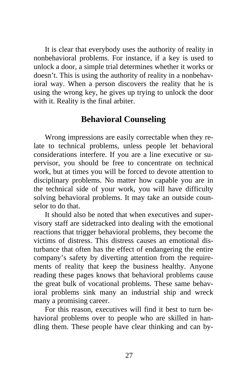It is clear that everybody uses the authority of reality in nonbehavioral problems. For instance, if a key is used to unlock a door, a simple trial determines whether it works or doesn't. This is using the authority of reality in a nonbehavioral way. When a person discovers the reality that he is using the wrong key, he gives up trying to unlock the door with it. Reality is the final arbiter.

#### **Behavioral Counseling**

Wrong impressions are easily correctable when they relate to technical problems, unless people let behavioral considerations interfere. If you are a line executive or supervisor, you should be free to concentrate on technical work, but at times you will be forced to devote attention to disciplinary problems. No matter how capable you are in the technical side of your work, you will have difficulty solving behavioral problems. It may take an outside counselor to do that.

It should also be noted that when executives and supervisory staff are sidetracked into dealing with the emotional reactions that trigger behavioral problems, they become the victims of distress. This distress causes an emotional disturbance that often has the effect of endangering the entire company's safety by diverting attention from the requirements of reality that keep the business healthy. Anyone reading these pages knows that behavioral problems cause the great bulk of vocational problems. These same behavioral problems sink many an industrial ship and wreck many a promising career.

For this reason, executives will find it best to turn behavioral problems over to people who are skilled in handling them. These people have clear thinking and can by-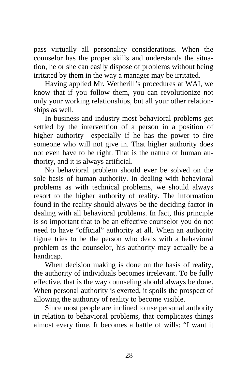pass virtually all personality considerations. When the counselor has the proper skills and understands the situation, he or she can easily dispose of problems without being irritated by them in the way a manager may be irritated.

Having applied Mr. Wetherill's procedures at WAI, we know that if you follow them, you can revolutionize not only your working relationships, but all your other relationships as well.

In business and industry most behavioral problems get settled by the intervention of a person in a position of higher authority—especially if he has the power to fire someone who will not give in. That higher authority does not even have to be right. That is the nature of human authority, and it is always artificial.

No behavioral problem should ever be solved on the sole basis of human authority. In dealing with behavioral problems as with technical problems, we should always resort to the higher authority of reality. The information found in the reality should always be the deciding factor in dealing with all behavioral problems. In fact, this principle is so important that to be an effective counselor you do not need to have "official" authority at all. When an authority figure tries to be the person who deals with a behavioral problem as the counselor, his authority may actually be a handicap.

When decision making is done on the basis of reality, the authority of individuals becomes irrelevant. To be fully effective, that is the way counseling should always be done. When personal authority is exerted, it spoils the prospect of allowing the authority of reality to become visible.

Since most people are inclined to use personal authority in relation to behavioral problems, that complicates things almost every time. It becomes a battle of wills: "I want it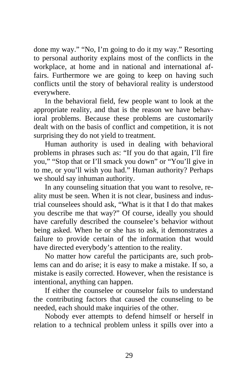done my way." "No, I'm going to do it my way." Resorting to personal authority explains most of the conflicts in the workplace, at home and in national and international affairs. Furthermore we are going to keep on having such conflicts until the story of behavioral reality is understood everywhere.

In the behavioral field, few people want to look at the appropriate reality, and that is the reason we have behavioral problems. Because these problems are customarily dealt with on the basis of conflict and competition, it is not surprising they do not yield to treatment.

Human authority is used in dealing with behavioral problems in phrases such as: "If you do that again, I'll fire you," "Stop that or I'll smack you down" or "You'll give in to me, or you'll wish you had." Human authority? Perhaps we should say inhuman authority.

In any counseling situation that you want to resolve, reality must be seen. When it is not clear, business and industrial counselees should ask, "What is it that I do that makes you describe me that way?" Of course, ideally you should have carefully described the counselee's behavior without being asked. When he or she has to ask, it demonstrates a failure to provide certain of the information that would have directed everybody's attention to the reality.

No matter how careful the participants are, such problems can and do arise; it is easy to make a mistake. If so, a mistake is easily corrected. However, when the resistance is intentional, anything can happen.

If either the counselee or counselor fails to understand the contributing factors that caused the counseling to be needed, each should make inquiries of the other.

Nobody ever attempts to defend himself or herself in relation to a technical problem unless it spills over into a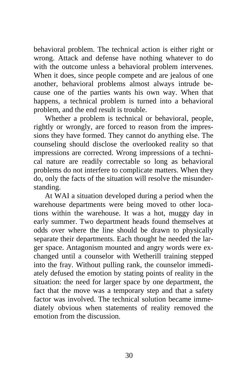behavioral problem. The technical action is either right or wrong. Attack and defense have nothing whatever to do with the outcome unless a behavioral problem intervenes. When it does, since people compete and are jealous of one another, behavioral problems almost always intrude because one of the parties wants his own way. When that happens, a technical problem is turned into a behavioral problem, and the end result is trouble.

Whether a problem is technical or behavioral, people, rightly or wrongly, are forced to reason from the impressions they have formed. They cannot do anything else. The counseling should disclose the overlooked reality so that impressions are corrected. Wrong impressions of a technical nature are readily correctable so long as behavioral problems do not interfere to complicate matters. When they do, only the facts of the situation will resolve the misunderstanding.

At WAI a situation developed during a period when the warehouse departments were being moved to other locations within the warehouse. It was a hot, muggy day in early summer. Two department heads found themselves at odds over where the line should be drawn to physically separate their departments. Each thought he needed the larger space. Antagonism mounted and angry words were exchanged until a counselor with Wetherill training stepped into the fray. Without pulling rank, the counselor immediately defused the emotion by stating points of reality in the situation: the need for larger space by one department, the fact that the move was a temporary step and that a safety factor was involved. The technical solution became immediately obvious when statements of reality removed the emotion from the discussion.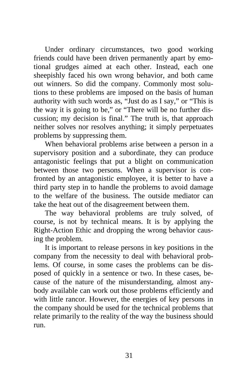Under ordinary circumstances, two good working friends could have been driven permanently apart by emotional grudges aimed at each other. Instead, each one sheepishly faced his own wrong behavior, and both came out winners. So did the company. Commonly most solutions to these problems are imposed on the basis of human authority with such words as, "Just do as I say," or "This is the way it is going to be," or "There will be no further discussion; my decision is final." The truth is, that approach neither solves nor resolves anything; it simply perpetuates problems by suppressing them.

When behavioral problems arise between a person in a supervisory position and a subordinate, they can produce antagonistic feelings that put a blight on communication between those two persons. When a supervisor is confronted by an antagonistic employee, it is better to have a third party step in to handle the problems to avoid damage to the welfare of the business. The outside mediator can take the heat out of the disagreement between them.

The way behavioral problems are truly solved, of course, is not by technical means. It is by applying the Right-Action Ethic and dropping the wrong behavior causing the problem.

It is important to release persons in key positions in the company from the necessity to deal with behavioral problems. Of course, in some cases the problems can be disposed of quickly in a sentence or two. In these cases, because of the nature of the misunderstanding, almost anybody available can work out those problems efficiently and with little rancor. However, the energies of key persons in the company should be used for the technical problems that relate primarily to the reality of the way the business should run.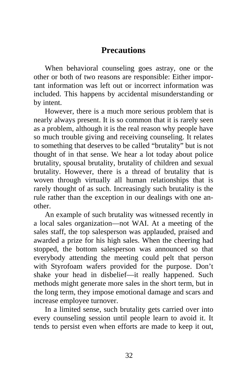#### **Precautions**

When behavioral counseling goes astray, one or the other or both of two reasons are responsible: Either important information was left out or incorrect information was included. This happens by accidental misunderstanding or by intent.

However, there is a much more serious problem that is nearly always present. It is so common that it is rarely seen as a problem, although it is the real reason why people have so much trouble giving and receiving counseling. It relates to something that deserves to be called "brutality" but is not thought of in that sense. We hear a lot today about police brutality, spousal brutality, brutality of children and sexual brutality. However, there is a thread of brutality that is woven through virtually all human relationships that is rarely thought of as such. Increasingly such brutality is the rule rather than the exception in our dealings with one another.

An example of such brutality was witnessed recently in a local sales organization—not WAI. At a meeting of the sales staff, the top salesperson was applauded, praised and awarded a prize for his high sales. When the cheering had stopped, the bottom salesperson was announced so that everybody attending the meeting could pelt that person with Styrofoam wafers provided for the purpose. Don't shake your head in disbelief—it really happened. Such methods might generate more sales in the short term, but in the long term, they impose emotional damage and scars and increase employee turnover.

In a limited sense, such brutality gets carried over into every counseling session until people learn to avoid it. It tends to persist even when efforts are made to keep it out,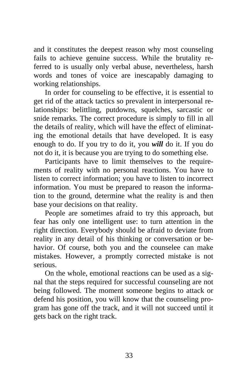and it constitutes the deepest reason why most counseling fails to achieve genuine success. While the brutality referred to is usually only verbal abuse, nevertheless, harsh words and tones of voice are inescapably damaging to working relationships.

In order for counseling to be effective, it is essential to get rid of the attack tactics so prevalent in interpersonal relationships: belittling, putdowns, squelches, sarcastic or snide remarks. The correct procedure is simply to fill in all the details of reality, which will have the effect of eliminating the emotional details that have developed. It is easy enough to do. If you try to do it, you *will* do it. If you do not do it, it is because you are trying to do something else.

Participants have to limit themselves to the requirements of reality with no personal reactions. You have to listen to correct information; you have to listen to incorrect information. You must be prepared to reason the information to the ground, determine what the reality is and then base your decisions on that reality.

People are sometimes afraid to try this approach, but fear has only one intelligent use: to turn attention in the right direction. Everybody should be afraid to deviate from reality in any detail of his thinking or conversation or behavior. Of course, both you and the counselee can make mistakes. However, a promptly corrected mistake is not serious.

On the whole, emotional reactions can be used as a signal that the steps required for successful counseling are not being followed. The moment someone begins to attack or defend his position, you will know that the counseling program has gone off the track, and it will not succeed until it gets back on the right track.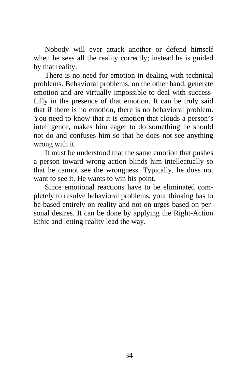Nobody will ever attack another or defend himself when he sees all the reality correctly; instead he is guided by that reality.

There is no need for emotion in dealing with technical problems. Behavioral problems, on the other hand, generate emotion and are virtually impossible to deal with successfully in the presence of that emotion. It can be truly said that if there is no emotion, there is no behavioral problem. You need to know that it is emotion that clouds a person's intelligence, makes him eager to do something he should not do and confuses him so that he does not see anything wrong with it.

It must be understood that the same emotion that pushes a person toward wrong action blinds him intellectually so that he cannot see the wrongness. Typically, he does not want to see it. He wants to win his point.

Since emotional reactions have to be eliminated completely to resolve behavioral problems, your thinking has to be based entirely on reality and not on urges based on personal desires. It can be done by applying the Right-Action Ethic and letting reality lead the way.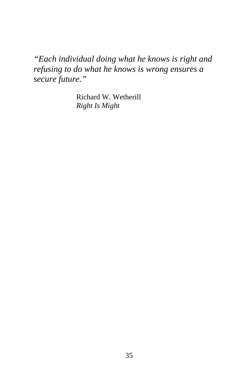*"Each individual doing what he knows is right and refusing to do what he knows is wrong ensures a secure future."* 

> Richard W. Wetherill *Right Is Might*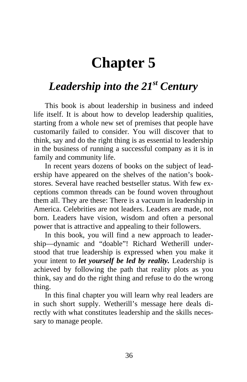# **Chapter 5**

### <span id="page-44-0"></span>*Leadership into the 21st Century*

This book is about leadership in business and indeed life itself. It is about how to develop leadership qualities, starting from a whole new set of premises that people have customarily failed to consider. You will discover that to think, say and do the right thing is as essential to leadership in the business of running a successful company as it is in family and community life.

In recent years dozens of books on the subject of leadership have appeared on the shelves of the nation's bookstores. Several have reached bestseller status. With few exceptions common threads can be found woven throughout them all. They are these: There is a vacuum in leadership in America. Celebrities are not leaders. Leaders are made, not born. Leaders have vision, wisdom and often a personal power that is attractive and appealing to their followers.

In this book, you will find a new approach to leadership—dynamic and "doable"! Richard Wetherill understood that true leadership is expressed when you make it your intent to *let yourself be led by reality.* Leadership is achieved by following the path that reality plots as you think, say and do the right thing and refuse to do the wrong thing.

In this final chapter you will learn why real leaders are in such short supply. Wetherill's message here deals directly with what constitutes leadership and the skills necessary to manage people.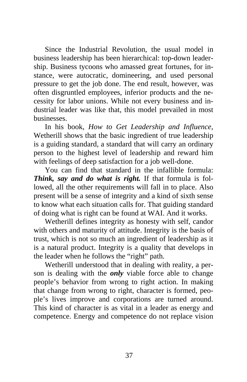Since the Industrial Revolution, the usual model in business leadership has been hierarchical: top-down leadership. Business tycoons who amassed great fortunes, for instance, were autocratic, domineering, and used personal pressure to get the job done. The end result, however, was often disgruntled employees, inferior products and the necessity for labor unions. While not every business and industrial leader was like that, this model prevailed in most businesses.

In his book, *How to Get Leadership and Influence*, Wetherill shows that the basic ingredient of true leadership is a guiding standard, a standard that will carry an ordinary person to the highest level of leadership and reward him with feelings of deep satisfaction for a job well-done.

You can find that standard in the infallible formula: *Think, say and do what is right.* If that formula is followed, all the other requirements will fall in to place. Also present will be a sense of integrity and a kind of sixth sense to know what each situation calls for. That guiding standard of doing what is right can be found at WAI. And it works.

Wetherill defines integrity as honesty with self, candor with others and maturity of attitude. Integrity is the basis of trust, which is not so much an ingredient of leadership as it is a natural product. Integrity is a quality that develops in the leader when he follows the "right" path.

Wetherill understood that in dealing with reality, a person is dealing with the *only* viable force able to change people's behavior from wrong to right action. In making that change from wrong to right, character is formed, people's lives improve and corporations are turned around. This kind of character is as vital in a leader as energy and competence. Energy and competence do not replace vision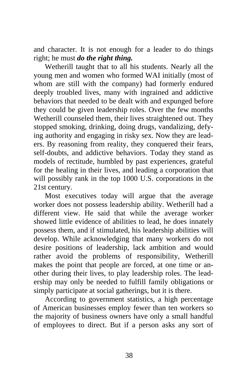and character. It is not enough for a leader to do things right; he must *do the right thing.*

Wetherill taught that to all his students. Nearly all the young men and women who formed WAI initially (most of whom are still with the company) had formerly endured deeply troubled lives, many with ingrained and addictive behaviors that needed to be dealt with and expunged before they could be given leadership roles. Over the few months Wetherill counseled them, their lives straightened out. They stopped smoking, drinking, doing drugs, vandalizing, defying authority and engaging in risky sex. Now they are leaders. By reasoning from reality, they conquered their fears, self-doubts, and addictive behaviors. Today they stand as models of rectitude, humbled by past experiences, grateful for the healing in their lives, and leading a corporation that will possibly rank in the top 1000 U.S. corporations in the 21st century.

Most executives today will argue that the average worker does not possess leadership ability. Wetherill had a different view. He said that while the average worker showed little evidence of abilities to lead, he does innately possess them, and if stimulated, his leadership abilities will develop. While acknowledging that many workers do not desire positions of leadership, lack ambition and would rather avoid the problems of responsibility, Wetherill makes the point that people are forced, at one time or another during their lives, to play leadership roles. The leadership may only be needed to fulfill family obligations or simply participate at social gatherings, but it is there.

According to government statistics, a high percentage of American businesses employ fewer than ten workers so the majority of business owners have only a small handful of employees to direct. But if a person asks any sort of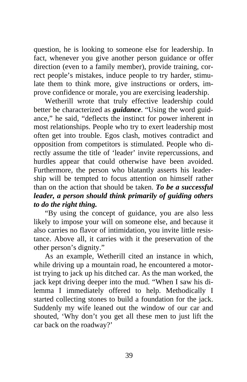question, he is looking to someone else for leadership. In fact, whenever you give another person guidance or offer direction (even to a family member), provide training, correct people's mistakes, induce people to try harder, stimulate them to think more, give instructions or orders, improve confidence or morale, you are exercising leadership.

Wetherill wrote that truly effective leadership could better be characterized as *guidance*. "Using the word guidance," he said, "deflects the instinct for power inherent in most relationships. People who try to exert leadership most often get into trouble. Egos clash, motives contradict and opposition from competitors is stimulated. People who directly assume the title of 'leader' invite repercussions, and hurdles appear that could otherwise have been avoided. Furthermore, the person who blatantly asserts his leadership will be tempted to focus attention on himself rather than on the action that should be taken. *To be a successful leader, a person should think primarily of guiding others to do the right thing.*

"By using the concept of guidance, you are also less likely to impose your will on someone else, and because it also carries no flavor of intimidation, you invite little resistance. Above all, it carries with it the preservation of the other person's dignity."

As an example, Wetherill cited an instance in which, while driving up a mountain road, he encountered a motorist trying to jack up his ditched car. As the man worked, the jack kept driving deeper into the mud. "When I saw his dilemma I immediately offered to help. Methodically I started collecting stones to build a foundation for the jack. Suddenly my wife leaned out the window of our car and shouted, 'Why don't you get all these men to just lift the car back on the roadway?'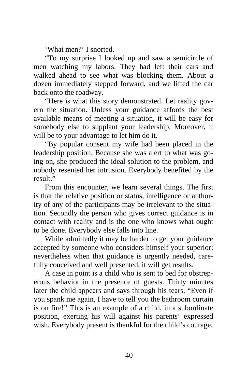'What men?' I snorted.

"To my surprise I looked up and saw a semicircle of men watching my labors. They had left their cars and walked ahead to see what was blocking them. About a dozen immediately stepped forward, and we lifted the car back onto the roadway.

"Here is what this story demonstrated. Let reality govern the situation. Unless your guidance affords the best available means of meeting a situation, it will be easy for somebody else to supplant your leadership. Moreover, it will be to your advantage to let him do it.

"By popular consent my wife had been placed in the leadership position. Because she was alert to what was going on, she produced the ideal solution to the problem, and nobody resented her intrusion. Everybody benefited by the result."

From this encounter, we learn several things. The first is that the relative position or status, intelligence or authority of any of the participants may be irrelevant to the situation. Secondly the person who gives correct guidance is in contact with reality and is the one who knows what ought to be done. Everybody else falls into line.

While admittedly it may be harder to get your guidance accepted by someone who considers himself your superior; nevertheless when that guidance is urgently needed, carefully conceived and well presented, it will get results.

A case in point is a child who is sent to bed for obstreperous behavior in the presence of guests. Thirty minutes later the child appears and says through his tears, "Even if you spank me again, I have to tell you the bathroom curtain is on fire!" This is an example of a child, in a subordinate position, exerting his will against his parents' expressed wish. Everybody present is thankful for the child's courage.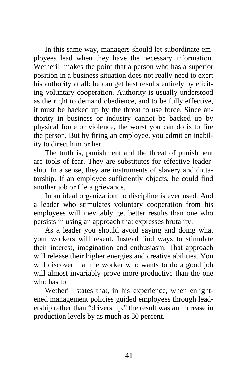In this same way, managers should let subordinate employees lead when they have the necessary information. Wetherill makes the point that a person who has a superior position in a business situation does not really need to exert his authority at all; he can get best results entirely by eliciting voluntary cooperation. Authority is usually understood as the right to demand obedience, and to be fully effective, it must be backed up by the threat to use force. Since authority in business or industry cannot be backed up by physical force or violence, the worst you can do is to fire the person. But by firing an employee, you admit an inability to direct him or her.

The truth is, punishment and the threat of punishment are tools of fear. They are substitutes for effective leadership. In a sense, they are instruments of slavery and dictatorship. If an employee sufficiently objects, he could find another job or file a grievance.

In an ideal organization no discipline is ever used. And a leader who stimulates voluntary cooperation from his employees will inevitably get better results than one who persists in using an approach that expresses brutality.

As a leader you should avoid saying and doing what your workers will resent. Instead find ways to stimulate their interest, imagination and enthusiasm. That approach will release their higher energies and creative abilities. You will discover that the worker who wants to do a good job will almost invariably prove more productive than the one who has to.

Wetherill states that, in his experience, when enlightened management policies guided employees through leadership rather than "drivership," the result was an increase in production levels by as much as 30 percent.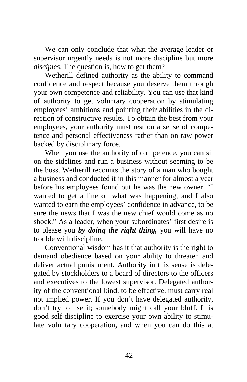We can only conclude that what the average leader or supervisor urgently needs is not more discipline but more *disciples*. The question is, how to get them?

Wetherill defined authority as the ability to command confidence and respect because you deserve them through your own competence and reliability. You can use that kind of authority to get voluntary cooperation by stimulating employees' ambitions and pointing their abilities in the direction of constructive results. To obtain the best from your employees, your authority must rest on a sense of competence and personal effectiveness rather than on raw power backed by disciplinary force.

When you use the authority of competence, you can sit on the sidelines and run a business without seeming to be the boss. Wetherill recounts the story of a man who bought a business and conducted it in this manner for almost a year before his employees found out he was the new owner. "I wanted to get a line on what was happening, and I also wanted to earn the employees' confidence in advance, to be sure the news that I was the new chief would come as no shock." As a leader, when your subordinates' first desire is to please you *by doing the right thing,* you will have no trouble with discipline.

Conventional wisdom has it that authority is the right to demand obedience based on your ability to threaten and deliver actual punishment. Authority in this sense is delegated by stockholders to a board of directors to the officers and executives to the lowest supervisor. Delegated authority of the conventional kind, to be effective, must carry real not implied power. If you don't have delegated authority, don't try to use it; somebody might call your bluff. It is good self-discipline to exercise your own ability to stimulate voluntary cooperation, and when you can do this at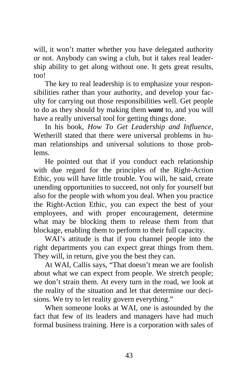will, it won't matter whether you have delegated authority or not. Anybody can swing a club, but it takes real leadership ability to get along without one. It gets great results, too!

The key to real leadership is to emphasize your responsibilities rather than your authority, and develop your faculty for carrying out those responsibilities well. Get people to do as they should by making them *want* to, and you will have a really universal tool for getting things done.

In his book, *How To Get Leadership and Influence*, Wetherill stated that there were universal problems in human relationships and universal solutions to those problems.

He pointed out that if you conduct each relationship with due regard for the principles of the Right-Action Ethic, you will have little trouble. You will, he said, create unending opportunities to succeed, not only for yourself but also for the people with whom you deal. When you practice the Right-Action Ethic, you can expect the best of your employees, and with proper encouragement, determine what may be blocking them to release them from that blockage, enabling them to perform to their full capacity.

WAI's attitude is that if you channel people into the right departments you can expect great things from them. They will, in return, give you the best they can.

At WAI, Callis says, "That doesn't mean we are foolish about what we can expect from people. We stretch people; we don't strain them. At every turn in the road, we look at the reality of the situation and let that determine our decisions. We try to let reality govern everything."

When someone looks at WAI, one is astounded by the fact that few of its leaders and managers have had much formal business training. Here is a corporation with sales of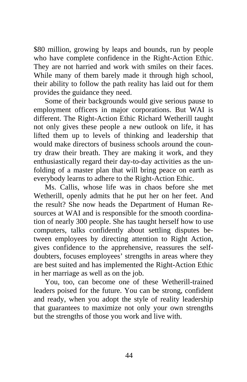\$80 million, growing by leaps and bounds, run by people who have complete confidence in the Right-Action Ethic. They are not harried and work with smiles on their faces. While many of them barely made it through high school, their ability to follow the path reality has laid out for them provides the guidance they need.

Some of their backgrounds would give serious pause to employment officers in major corporations. But WAI is different. The Right-Action Ethic Richard Wetherill taught not only gives these people a new outlook on life, it has lifted them up to levels of thinking and leadership that would make directors of business schools around the country draw their breath. They are making it work, and they enthusiastically regard their day-to-day activities as the unfolding of a master plan that will bring peace on earth as everybody learns to adhere to the Right-Action Ethic.

Ms. Callis, whose life was in chaos before she met Wetherill, openly admits that he put her on her feet. And the result? She now heads the Department of Human Resources at WAI and is responsible for the smooth coordination of nearly 300 people. She has taught herself how to use computers, talks confidently about settling disputes between employees by directing attention to Right Action, gives confidence to the apprehensive, reassures the selfdoubters, focuses employees' strengths in areas where they are best suited and has implemented the Right-Action Ethic in her marriage as well as on the job.

You, too, can become one of these Wetherill-trained leaders poised for the future. You can be strong, confident and ready, when you adopt the style of reality leadership that guarantees to maximize not only your own strengths but the strengths of those you work and live with.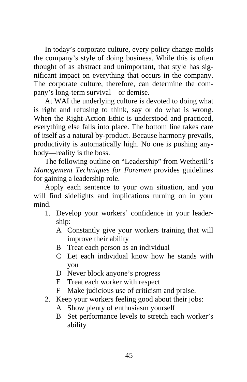In today's corporate culture, every policy change molds the company's style of doing business. While this is often thought of as abstract and unimportant, that style has significant impact on everything that occurs in the company. The corporate culture, therefore, can determine the company's long-term survival—or demise.

At WAI the underlying culture is devoted to doing what is right and refusing to think, say or do what is wrong. When the Right-Action Ethic is understood and practiced, everything else falls into place. The bottom line takes care of itself as a natural by-product. Because harmony prevails, productivity is automatically high. No one is pushing anybody—reality is the boss.

The following outline on "Leadership" from Wetherill's *Management Techniques for Foremen* provides guidelines for gaining a leadership role.

Apply each sentence to your own situation, and you will find sidelights and implications turning on in your mind.

- 1. Develop your workers' confidence in your leadership:
	- A Constantly give your workers training that will improve their ability
	- B Treat each person as an individual
	- C Let each individual know how he stands with you
	- D Never block anyone's progress
	- E Treat each worker with respect
	- F Make judicious use of criticism and praise.
- 2. Keep your workers feeling good about their jobs:
	- A Show plenty of enthusiasm yourself
	- B Set performance levels to stretch each worker's ability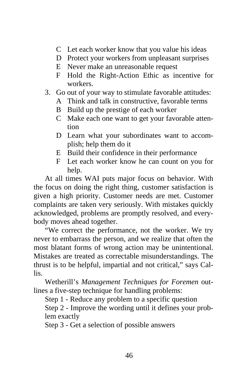- C Let each worker know that you value his ideas
- D Protect your workers from unpleasant surprises
- E Never make an unreasonable request
- F Hold the Right-Action Ethic as incentive for workers.
- 3. Go out of your way to stimulate favorable attitudes:
	- A Think and talk in constructive, favorable terms
	- B Build up the prestige of each worker
	- C Make each one want to get your favorable attention
	- D Learn what your subordinates want to accomplish; help them do it
	- E Build their confidence in their performance
	- F Let each worker know he can count on you for help.

At all times WAI puts major focus on behavior. With the focus on doing the right thing, customer satisfaction is given a high priority. Customer needs are met. Customer complaints are taken very seriously. With mistakes quickly acknowledged, problems are promptly resolved, and everybody moves ahead together.

"We correct the performance, not the worker. We try never to embarrass the person, and we realize that often the most blatant forms of wrong action may be unintentional. Mistakes are treated as correctable misunderstandings. The thrust is to be helpful, impartial and not critical," says Callis.

Wetherill's *Management Techniques for Foremen* outlines a five-step technique for handling problems:

Step 1 - Reduce any problem to a specific question

Step 2 - Improve the wording until it defines your problem exactly

Step 3 - Get a selection of possible answers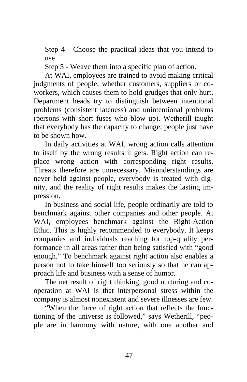Step 4 - Choose the practical ideas that you intend to use

Step 5 - Weave them into a specific plan of action.

At WAI, employees are trained to avoid making critical judgments of people, whether customers, suppliers or coworkers, which causes them to hold grudges that only hurt. Department heads try to distinguish between intentional problems (consistent lateness) and unintentional problems (persons with short fuses who blow up). Wetherill taught that everybody has the capacity to change; people just have to be shown how.

In daily activities at WAI, wrong action calls attention to itself by the wrong results it gets. Right action can replace wrong action with corresponding right results. Threats therefore are unnecessary. Misunderstandings are never held against people, everybody is treated with dignity, and the reality of right results makes the lasting impression.

In business and social life, people ordinarily are told to benchmark against other companies and other people. At WAI, employees benchmark against the Right-Action Ethic. This is highly recommended to everybody. It keeps companies and individuals reaching for top-quality performance in all areas rather than being satisfied with "good enough." To benchmark against right action also enables a person not to take himself too seriously so that he can approach life and business with a sense of humor.

The net result of right thinking, good nurturing and cooperation at WAI is that interpersonal stress within the company is almost nonexistent and severe illnesses are few.

"When the force of right action that reflects the functioning of the universe is followed," says Wetherill, "people are in harmony with nature, with one another and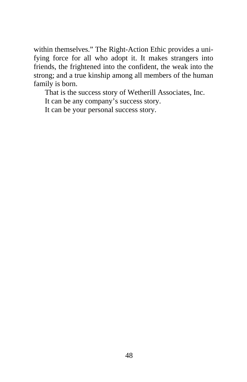within themselves." The Right-Action Ethic provides a unifying force for all who adopt it. It makes strangers into friends, the frightened into the confident, the weak into the strong; and a true kinship among all members of the human family is born.

That is the success story of Wetherill Associates, Inc.

It can be any company's success story.

It can be your personal success story.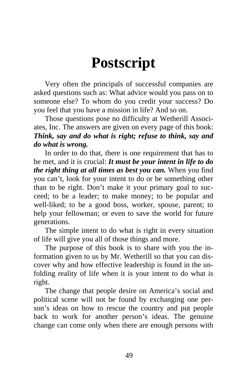# **Postscript**

<span id="page-57-0"></span>Very often the principals of successful companies are asked questions such as: What advice would you pass on to someone else? To whom do you credit your success? Do you feel that you have a mission in life? And so on.

Those questions pose no difficulty at Wetherill Associates, Inc. The answers are given on every page of this book: *Think, say and do what is right; refuse to think, say and do what is wrong.*

In order to do that, there is one requirement that has to be met, and it is crucial: *It must be your intent in life to do the right thing at all times as best you can.* When you find you can't, look for your intent to do or be something other than to be right. Don't make it your primary goal to succeed; to be a leader; to make money; to be popular and well-liked; to be a good boss, worker, spouse, parent; to help your fellowman; or even to save the world for future generations.

The simple intent to do what is right in every situation of life will give you all of those things and more.

The purpose of this book is to share with you the information given to us by Mr. Wetherill so that you can discover why and how effective leadership is found in the unfolding reality of life when it is your intent to do what is right.

The change that people desire on America's social and political scene will not be found by exchanging one person's ideas on how to rescue the country and put people back to work for another person's ideas. The genuine change can come only when there are enough persons with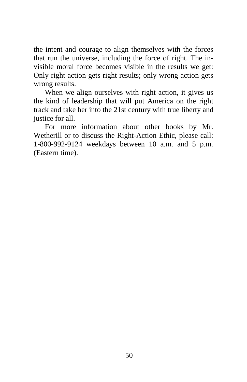the intent and courage to align themselves with the forces that run the universe, including the force of right. The invisible moral force becomes visible in the results we get: Only right action gets right results; only wrong action gets wrong results.

When we align ourselves with right action, it gives us the kind of leadership that will put America on the right track and take her into the 21st century with true liberty and justice for all.

For more information about other books by Mr. Wetherill or to discuss the Right-Action Ethic, please call: 1-800-992-9124 weekdays between 10 a.m. and 5 p.m. (Eastern time).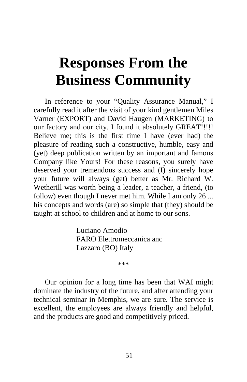# <span id="page-59-0"></span>**Responses From the Business Community**

In reference to your "Quality Assurance Manual," I carefully read it after the visit of your kind gentlemen Miles Varner (EXPORT) and David Haugen (MARKETING) to our factory and our city. I found it absolutely GREAT!!!!! Believe me; this is the first time I have (ever had) the pleasure of reading such a constructive, humble, easy and (yet) deep publication written by an important and famous Company like Yours! For these reasons, you surely have deserved your tremendous success and (I) sincerely hope your future will always (get) better as Mr. Richard W. Wetherill was worth being a leader, a teacher, a friend, (to follow) even though I never met him. While I am only 26 ... his concepts and words (are) so simple that (they) should be taught at school to children and at home to our sons.

> Luciano Amodio FARO Elettromeccanica anc Lazzaro (BO) Italy

> > \*\*\*

Our opinion for a long time has been that WAI might dominate the industry of the future, and after attending your technical seminar in Memphis, we are sure. The service is excellent, the employees are always friendly and helpful, and the products are good and competitively priced.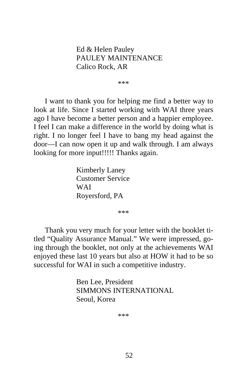Ed & Helen Pauley PAULEY MAINTENANCE Calico Rock, AR

\*\*\*

I want to thank you for helping me find a better way to look at life. Since I started working with WAI three years ago I have become a better person and a happier employee. I feel I can make a difference in the world by doing what is right. I no longer feel I have to bang my head against the door—I can now open it up and walk through. I am always looking for more input!!!!! Thanks again.

> Kimberly Laney Customer Service **WAI** Royersford, PA

> > \*\*\*

Thank you very much for your letter with the booklet titled "Quality Assurance Manual." We were impressed, going through the booklet, not only at the achievements WAI enjoyed these last 10 years but also at HOW it had to be so successful for WAI in such a competitive industry.

> Ben Lee, President SIMMONS INTERNATIONAL Seoul, Korea

> > \*\*\*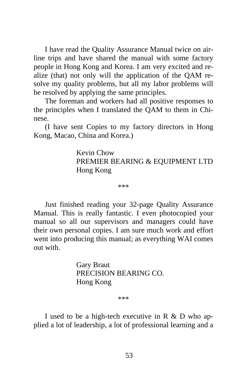I have read the Quality Assurance Manual twice on airline trips and have shared the manual with some factory people in Hong Kong and Korea. I am very excited and realize (that) not only will the application of the QAM resolve my quality problems, but all my labor problems will be resolved by applying the same principles.

The foreman and workers had all positive responses to the principles when I translated the QAM to them in Chinese.

(I have sent Copies to my factory directors in Hong Kong, Macao, China and Korea.)

> Kevin Chow PREMIER BEARING & EQUIPMENT LTD Hong Kong

> > \*\*\*

Just finished reading your 32-page Quality Assurance Manual. This is really fantastic. I even photocopied your manual so all our supervisors and managers could have their own personal copies. I am sure much work and effort went into producing this manual; as everything WAI comes out with.

> Gary Braut PRECISION BEARING CO. Hong Kong

> > \*\*\*

I used to be a high-tech executive in R & D who applied a lot of leadership, a lot of professional learning and a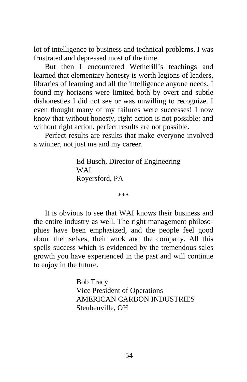lot of intelligence to business and technical problems. I was frustrated and depressed most of the time.

But then I encountered Wetherill's teachings and learned that elementary honesty is worth legions of leaders, libraries of learning and all the intelligence anyone needs. I found my horizons were limited both by overt and subtle dishonesties I did not see or was unwilling to recognize. I even thought many of my failures were successes! I now know that without honesty, right action is not possible: and without right action, perfect results are not possible.

Perfect results are results that make everyone involved a winner, not just me and my career.

> Ed Busch, Director of Engineering **WAI** Royersford, PA

> > \*\*\*

It is obvious to see that WAI knows their business and the entire industry as well. The right management philosophies have been emphasized, and the people feel good about themselves, their work and the company. All this spells success which is evidenced by the tremendous sales growth you have experienced in the past and will continue to enjoy in the future.

> Bob Tracy Vice President of Operations AMERICAN CARBON INDUSTRIES Steubenville, OH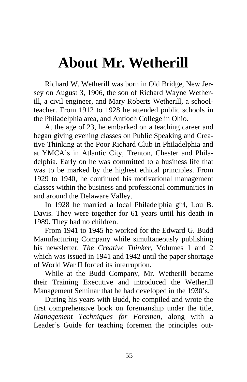## <span id="page-63-0"></span>**About Mr. Wetherill**

Richard W. Wetherill was born in Old Bridge, New Jersey on August 3, 1906, the son of Richard Wayne Wetherill, a civil engineer, and Mary Roberts Wetherill, a schoolteacher. From 1912 to 1928 he attended public schools in the Philadelphia area, and Antioch College in Ohio.

At the age of 23, he embarked on a teaching career and began giving evening classes on Public Speaking and Creative Thinking at the Poor Richard Club in Philadelphia and at YMCA's in Atlantic City, Trenton, Chester and Philadelphia. Early on he was committed to a business life that was to be marked by the highest ethical principles. From 1929 to 1940, he continued his motivational management classes within the business and professional communities in and around the Delaware Valley.

In 1928 he married a local Philadelphia girl, Lou B. Davis. They were together for 61 years until his death in 1989. They had no children.

From 1941 to 1945 he worked for the Edward G. Budd Manufacturing Company while simultaneously publishing his newsletter, *The Creative Thinker*, Volumes 1 and 2 which was issued in 1941 and 1942 until the paper shortage of World War II forced its interruption.

While at the Budd Company, Mr. Wetherill became their Training Executive and introduced the Wetherill Management Seminar that he had developed in the 1930's.

During his years with Budd, he compiled and wrote the first comprehensive book on foremanship under the title, *Management Techniques for Foremen*, along with a Leader's Guide for teaching foremen the principles out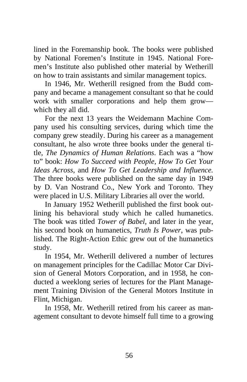lined in the Foremanship book. The books were published by National Foremen's Institute in 1945. National Foremen's Institute also published other material by Wetherill on how to train assistants and similar management topics.

In 1946, Mr. Wetherill resigned from the Budd company and became a management consultant so that he could work with smaller corporations and help them grow which they all did.

For the next 13 years the Weidemann Machine Company used his consulting services, during which time the company grew steadily. During his career as a management consultant, he also wrote three books under the general title, *The Dynamics of Human Relations*. Each was a "how to" book: *How To Succeed with People, How To Get Your Ideas Across*, and *How To Get Leadership and Influence.* The three books were published on the same day in 1949 by D. Van Nostrand Co., New York and Toronto. They were placed in U.S. Military Libraries all over the world.

In January 1952 Wetherill published the first book outlining his behavioral study which he called humanetics. The book was titled *Tower of Babel*, and later in the year, his second book on humanetics, *Truth Is Power*, was published. The Right-Action Ethic grew out of the humanetics study.

In 1954, Mr. Wetherill delivered a number of lectures on management principles for the Cadillac Motor Car Division of General Motors Corporation, and in 1958, he conducted a weeklong series of lectures for the Plant Management Training Division of the General Motors Institute in Flint, Michigan.

In 1958, Mr. Wetherill retired from his career as management consultant to devote himself full time to a growing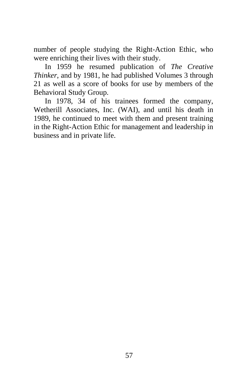number of people studying the Right-Action Ethic, who were enriching their lives with their study.

In 1959 he resumed publication of *The Creative Thinker*, and by 1981, he had published Volumes 3 through 21 as well as a score of books for use by members of the Behavioral Study Group.

In 1978, 34 of his trainees formed the company, Wetherill Associates, Inc. (WAI), and until his death in 1989, he continued to meet with them and present training in the Right-Action Ethic for management and leadership in business and in private life.